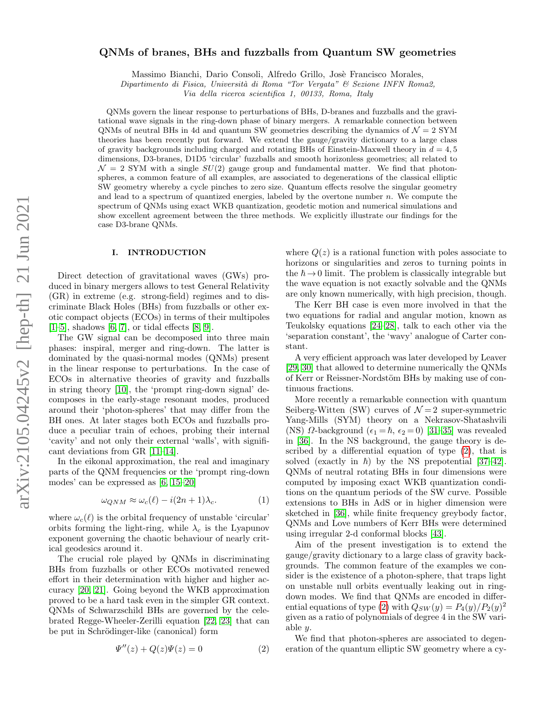# QNMs of branes, BHs and fuzzballs from Quantum SW geometries

Massimo Bianchi, Dario Consoli, Alfredo Grillo, Josè Francisco Morales,

Dipartimento di Fisica, Università di Roma "Tor Vergata" & Sezione INFN Roma2,

Via della ricerca scientifica 1, 00133, Roma, Italy

QNMs govern the linear response to perturbations of BHs, D-branes and fuzzballs and the gravitational wave signals in the ring-down phase of binary mergers. A remarkable connection between QNMs of neutral BHs in 4d and quantum SW geometries describing the dynamics of  $\mathcal{N} = 2$  SYM theories has been recently put forward. We extend the gauge/gravity dictionary to a large class of gravity backgrounds including charged and rotating BHs of Einstein-Maxwell theory in  $d = 4, 5$ dimensions, D3-branes, D1D5 'circular' fuzzballs and smooth horizonless geometries; all related to  $\mathcal{N} = 2$  SYM with a single  $SU(2)$  gauge group and fundamental matter. We find that photonspheres, a common feature of all examples, are associated to degenerations of the classical elliptic SW geometry whereby a cycle pinches to zero size. Quantum effects resolve the singular geometry and lead to a spectrum of quantized energies, labeled by the overtone number n. We compute the spectrum of QNMs using exact WKB quantization, geodetic motion and numerical simulations and show excellent agreement between the three methods. We explicitly illustrate our findings for the case D3-brane QNMs.

# I. INTRODUCTION

Direct detection of gravitational waves (GWs) produced in binary mergers allows to test General Relativity (GR) in extreme (e.g. strong-field) regimes and to discriminate Black Holes (BHs) from fuzzballs or other exotic compact objects (ECOs) in terms of their multipoles  $[1–5]$  $[1–5]$ , shadows  $[6, 7]$  $[6, 7]$ , or tidal effects  $[8, 9]$  $[8, 9]$ .

The GW signal can be decomposed into three main phases: inspiral, merger and ring-down. The latter is dominated by the quasi-normal modes (QNMs) present in the linear response to perturbations. In the case of ECOs in alternative theories of gravity and fuzzballs in string theory [\[10\]](#page-5-6), the 'prompt ring-down signal' decomposes in the early-stage resonant modes, produced around their 'photon-spheres' that may differ from the BH ones. At later stages both ECOs and fuzzballs produce a peculiar train of echoes, probing their internal 'cavity' and not only their external 'walls', with significant deviations from GR [\[11–](#page-5-7)[14\]](#page-5-8).

In the eikonal approximation, the real and imaginary parts of the QNM frequencies or the 'prompt ring-down modes' can be expressed as [\[6,](#page-5-2) [15–](#page-5-9)[20\]](#page-5-10)

<span id="page-0-1"></span>
$$
\omega_{QNM} \approx \omega_c(\ell) - i(2n+1)\lambda_c.
$$
 (1)

where  $\omega_c(\ell)$  is the orbital frequency of unstable 'circular' orbits forming the light-ring, while  $\lambda_c$  is the Lyapunov exponent governing the chaotic behaviour of nearly critical geodesics around it.

The crucial role played by QNMs in discriminating BHs from fuzzballs or other ECOs motivated renewed effort in their determination with higher and higher accuracy [\[20,](#page-5-10) [21\]](#page-5-11). Going beyond the WKB approximation proved to be a hard task even in the simpler GR context. QNMs of Schwarzschild BHs are governed by the celebrated Regge-Wheeler-Zerilli equation [\[22,](#page-5-12) [23\]](#page-5-13) that can be put in Schrödinger-like (canonical) form

<span id="page-0-0"></span>
$$
\Psi''(z) + Q(z)\Psi(z) = 0\tag{2}
$$

where  $Q(z)$  is a rational function with poles associate to horizons or singularities and zeros to turning points in the  $\hbar \rightarrow 0$  limit. The problem is classically integrable but the wave equation is not exactly solvable and the QNMs are only known numerically, with high precision, though.

The Kerr BH case is even more involved in that the two equations for radial and angular motion, known as Teukolsky equations [\[24–](#page-5-14)[28\]](#page-5-15), talk to each other via the 'separation constant', the 'wavy' analogue of Carter constant.

A very efficient approach was later developed by Leaver [\[29,](#page-5-16) [30\]](#page-5-17) that allowed to determine numerically the QNMs of Kerr or Reissner-Nordstöm BHs by making use of continuous fractions.

More recently a remarkable connection with quantum Seiberg-Witten (SW) curves of  $\mathcal{N}=2$  super-symmetric Yang-Mills (SYM) theory on a Nekrasov-Shatashvili (NS)  $\Omega$ -background  $(\epsilon_1 = \hbar, \epsilon_2 = 0)$  [\[31](#page-5-18)[–35\]](#page-6-0) was revealed in [\[36\]](#page-6-1). In the NS background, the gauge theory is described by a differential equation of type [\(2\)](#page-0-0), that is solved (exactly in  $\hbar$ ) by the NS prepotential [\[37–](#page-6-2)[42\]](#page-6-3). QNMs of neutral rotating BHs in four dimensions were computed by imposing exact WKB quantization conditions on the quantum periods of the SW curve. Possible extensions to BHs in AdS or in higher dimension were sketched in [\[36\]](#page-6-1), while finite frequency greybody factor, QNMs and Love numbers of Kerr BHs were determined using irregular 2-d conformal blocks [\[43\]](#page-6-4).

Aim of the present investigation is to extend the gauge/gravity dictionary to a large class of gravity backgrounds. The common feature of the examples we consider is the existence of a photon-sphere, that traps light on unstable null orbits eventually leaking out in ringdown modes. We find that QNMs are encoded in differ-ential equations of type [\(2\)](#page-0-0) with  $Q_{SW}(y) = P_4(y)/P_2(y)^2$ given as a ratio of polynomials of degree 4 in the SW variable y.

We find that photon-spheres are associated to degeneration of the quantum elliptic SW geometry where a cy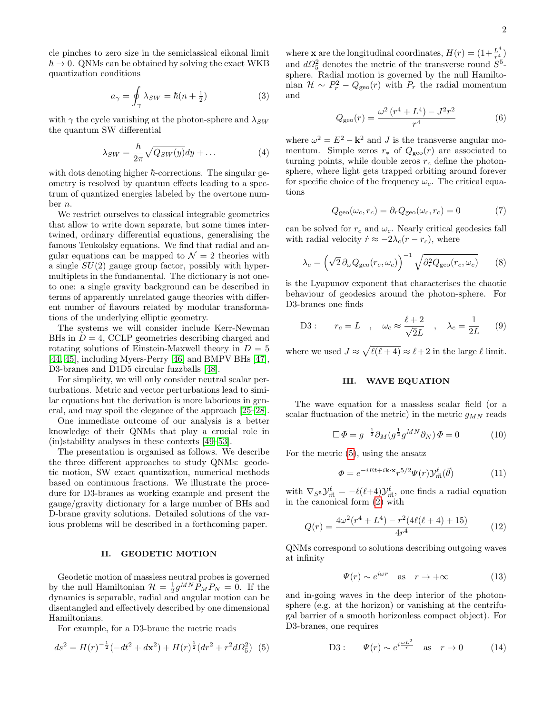cle pinches to zero size in the semiclassical eikonal limit  $\hbar \rightarrow 0$ . QNMs can be obtained by solving the exact WKB quantization conditions

$$
a_{\gamma} = \oint_{\gamma} \lambda_{SW} = \hbar (n + \frac{1}{2})
$$
 (3)

with  $\gamma$  the cycle vanishing at the photon-sphere and  $\lambda_{SW}$ the quantum SW differential

$$
\lambda_{SW} = \frac{\hbar}{2\pi} \sqrt{Q_{SW}(y)} dy + \dots \tag{4}
$$

with dots denoting higher  $\hbar$ -corrections. The singular geometry is resolved by quantum effects leading to a spectrum of quantized energies labeled by the overtone number n.

We restrict ourselves to classical integrable geometries that allow to write down separate, but some times intertwined, ordinary differential equations, generalising the famous Teukolsky equations. We find that radial and angular equations can be mapped to  $\mathcal{N}=2$  theories with a single  $SU(2)$  gauge group factor, possibly with hypermultiplets in the fundamental. The dictionary is not oneto one: a single gravity background can be described in terms of apparently unrelated gauge theories with different number of flavours related by modular transformations of the underlying elliptic geometry.

The systems we will consider include Kerr-Newman BHs in  $D = 4$ , CCLP geometries describing charged and rotating solutions of Einstein-Maxwell theory in  $D = 5$ [\[44,](#page-6-5) [45\]](#page-6-6), including Myers-Perry [\[46\]](#page-6-7) and BMPV BHs [\[47\]](#page-6-8), D3-branes and D1D5 circular fuzzballs [\[48\]](#page-6-9).

For simplicity, we will only consider neutral scalar perturbations. Metric and vector perturbations lead to similar equations but the derivation is more laborious in general, and may spoil the elegance of the approach [\[25–](#page-5-19)[28\]](#page-5-15).

One immediate outcome of our analysis is a better knowledge of their QNMs that play a crucial role in (in)stability analyses in these contexts [\[49–](#page-6-10)[53\]](#page-6-11).

The presentation is organised as follows. We describe the three different approaches to study QNMs: geodetic motion, SW exact quantization, numerical methods based on continuous fractions. We illustrate the procedure for D3-branes as working example and present the gauge/gravity dictionary for a large number of BHs and D-brane gravity solutions. Detailed solutions of the various problems will be described in a forthcoming paper.

#### II. GEODETIC MOTION

Geodetic motion of massless neutral probes is governed by the null Hamiltonian  $\mathcal{H} = \frac{1}{2} g^{MN} P_M P_N = 0$ . If the dynamics is separable, radial and angular motion can be disentangled and effectively described by one dimensional Hamiltonians.

For example, for a D3-brane the metric reads

<span id="page-1-0"></span>
$$
ds^{2} = H(r)^{-\frac{1}{2}}(-dt^{2} + d\mathbf{x}^{2}) + H(r)^{\frac{1}{2}}(dr^{2} + r^{2}d\Omega_{5}^{2})
$$
 (5)

where **x** are the longitudinal coordinates,  $H(r) = (1 + \frac{L^4}{r^4})$  $\frac{L}{r^4}\big)$ and  $d\Omega_5^2$  denotes the metric of the transverse round  $S^5$ sphere. Radial motion is governed by the null Hamiltonian  $\mathcal{H} \sim P_r^2 - Q_{\text{geo}}(r)$  with  $P_r$  the radial momentum and

$$
Q_{\rm geo}(r) = \frac{\omega^2 (r^4 + L^4) - J^2 r^2}{r^4} \tag{6}
$$

where  $\omega^2 = E^2 - \mathbf{k}^2$  and J is the transverse angular momentum. Simple zeros  $r_*$  of  $Q_{\text{geo}}(r)$  are associated to turning points, while double zeros  $r_c$  define the photonsphere, where light gets trapped orbiting around forever for specific choice of the frequency  $\omega_c$ . The critical equations

$$
Q_{\rm geo}(\omega_c, r_c) = \partial_r Q_{\rm geo}(\omega_c, r_c) = 0 \tag{7}
$$

can be solved for  $r_c$  and  $\omega_c$ . Nearly critical geodesics fall with radial velocity  $\dot{r} \approx -2\lambda_c(r-r_c)$ , where

$$
\lambda_c = \left(\sqrt{2} \,\partial_{\omega} Q_{\text{geo}}(r_c, \omega_c)\right)^{-1} \sqrt{\partial_r^2 Q_{\text{geo}}(r_c, \omega_c)} \tag{8}
$$

is the Lyapunov exponent that characterises the chaotic behaviour of geodesics around the photon-sphere. For D3-branes one finds

<span id="page-1-1"></span>D3: 
$$
r_c = L
$$
,  $\omega_c \approx \frac{\ell+2}{\sqrt{2}L}$ ,  $\lambda_c = \frac{1}{2L}$  (9)

where we used  $J \approx \sqrt{\ell(\ell+4)} \approx \ell+2$  in the large  $\ell$  limit.

### III. WAVE EQUATION

The wave equation for a massless scalar field (or a scalar fluctuation of the metric) in the metric  $g_{MN}$  reads

$$
\Box \Phi = g^{-\frac{1}{2}} \partial_M (g^{\frac{1}{2}} g^{MN} \partial_N) \Phi = 0 \tag{10}
$$

For the metric [\(5\)](#page-1-0), using the ansatz

$$
\Phi = e^{-iEt + i\mathbf{k} \cdot \mathbf{x}} r^{5/2} \Psi(r) \mathcal{Y}_{\vec{m}}^{\ell}(\vec{\theta})
$$
(11)

with  $\nabla_{S^5} \mathcal{Y}^{\ell}_{\vec{m}} = -\ell(\ell+4) \mathcal{Y}^{\ell}_{\vec{m}},$  one finds a radial equation in the canonical form [\(2\)](#page-0-0) with

$$
Q(r) = \frac{4\omega^2(r^4 + L^4) - r^2(4\ell(\ell+4) + 15)}{4r^4} \tag{12}
$$

QNMs correspond to solutions describing outgoing waves at infinity

<span id="page-1-2"></span>
$$
\Psi(r) \sim e^{i\omega r} \quad \text{as} \quad r \to +\infty \tag{13}
$$

and in-going waves in the deep interior of the photonsphere (e.g. at the horizon) or vanishing at the centrifugal barrier of a smooth horizonless compact object). For D3-branes, one requires

<span id="page-1-3"></span>D3: 
$$
\Psi(r) \sim e^{i\frac{\omega L^2}{r}}
$$
 as  $r \to 0$  (14)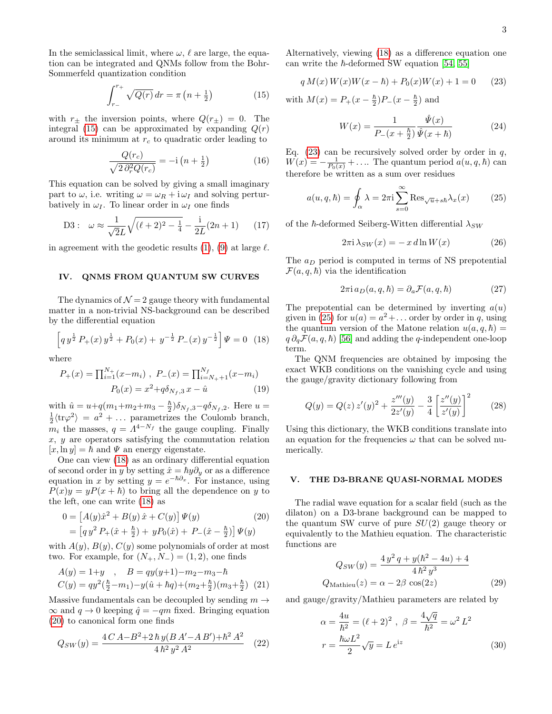In the semiclassical limit, where  $\omega$ ,  $\ell$  are large, the equation can be integrated and QNMs follow from the Bohr-Sommerfeld quantization condition

<span id="page-2-0"></span>
$$
\int_{r_{-}}^{r_{+}} \sqrt{Q(r)} \, dr = \pi \left( n + \frac{1}{2} \right) \tag{15}
$$

with  $r_{\pm}$  the inversion points, where  $Q(r_{\pm}) = 0$ . The integral [\(15\)](#page-2-0) can be approximated by expanding  $Q(r)$ around its minimum at  $r_c$  to quadratic order leading to

$$
\frac{Q(r_c)}{\sqrt{2 \partial_r^2 Q(r_c)}} = -i \left( n + \frac{1}{2} \right) \tag{16}
$$

This equation can be solved by giving a small imaginary part to  $\omega$ , i.e. writing  $\omega = \omega_R + i \omega_I$  and solving perturbatively in  $\omega_I$ . To linear order in  $\omega_I$  one finds

D3: 
$$
\omega \approx \frac{1}{\sqrt{2}L} \sqrt{(\ell+2)^2 - \frac{1}{4}} - \frac{i}{2L} (2n+1)
$$
 (17)

in agreement with the geodetic results [\(1\)](#page-0-1), [\(9\)](#page-1-1) at large  $\ell$ .

### IV. QNMS FROM QUANTUM SW CURVES

The dynamics of  $\mathcal{N}=2$  gauge theory with fundamental matter in a non-trivial NS-background can be described by the differential equation

<span id="page-2-1"></span>
$$
\[q\,y^{\frac{1}{2}}\,P_{+}(x)\,y^{\frac{1}{2}}+P_{0}(x)+\,y^{-\frac{1}{2}}\,P_{-}(x)\,y^{-\frac{1}{2}}\]\,\Psi=0\quad(18)
$$

where

$$
P_{+}(x) = \prod_{i=1}^{N_{+}} (x - m_{i}), \ P_{-}(x) = \prod_{i=N_{+}+1}^{N_{f}} (x - m_{i})
$$

$$
P_{0}(x) = x^{2} + q\delta_{N_{f},3} x - \hat{u}
$$
(19)

with  $\hat{u} = u + q(m_1 + m_2 + m_3 - \frac{\hbar}{2})$  $\frac{\hbar}{2}$ ) $\delta_{N_f,3}$ - $q\delta_{N_f,2}$ . Here  $u=$  $\frac{1}{2}\langle \text{tr}\varphi^2 \rangle = a^2 + \dots$  parametrizes the Coulomb branch,  $2\pi q$  is  $m_i$  the masses,  $q = A^{4-N_f}$  the gauge coupling. Finally  $x, y$  are operators satisfying the commutation relation  $[x, \ln y] = \hbar$  and  $\Psi$  an energy eigenstate.

One can view [\(18\)](#page-2-1) as an ordinary differential equation of second order in y by setting  $\hat{x} = \hbar y \partial_y$  or as a difference equation in x by setting  $y = e^{-\hbar \partial_x}$ . For instance, using  $P(x)y = yP(x + \hbar)$  to bring all the dependence on y to the left, one can write [\(18\)](#page-2-1) as

<span id="page-2-2"></span>
$$
0 = [A(y)\hat{x}^2 + B(y)\hat{x} + C(y)]\Psi(y)
$$
\n
$$
= [q y^2 P_{+}(\hat{x} + \frac{\hbar}{2}) + y P_{0}(\hat{x}) + P_{-}(\hat{x} - \frac{\hbar}{2})]\Psi(y)
$$
\n(20)

with  $A(y)$ ,  $B(y)$ ,  $C(y)$  some polynomials of order at most two. For example, for  $(N_+, N_-) = (1, 2)$ , one finds

$$
A(y) = 1+y , B = qy(y+1) - m_2 - m_3 - \hbar
$$
  

$$
C(y) = qy^2(\frac{\hbar}{2} - m_1) - y(\hat{u} + \hbar q) + (m_2 + \frac{\hbar}{2})(m_3 + \frac{\hbar}{2})
$$
 (21)

Massive fundamentals can be decoupled by sending  $m \rightarrow$  $\infty$  and  $q \to 0$  keeping  $\hat{q} = -qm$  fixed. Bringing equation [\(20\)](#page-2-2) to canonical form one finds

$$
Q_{SW}(y) = \frac{4C A - B^2 + 2\,\hbar\,y(B\,A' - A\,B') + \hbar^2\,A^2}{4\,\hbar^2\,y^2\,A^2} \tag{22}
$$

Alternatively, viewing [\(18\)](#page-2-1) as a difference equation one can write the  $\hbar$ -deformed SW equation [\[54,](#page-6-12) [55\]](#page-6-13)

<span id="page-2-3"></span>
$$
q M(x) W(x) W(x - \hbar) + P_0(x) W(x) + 1 = 0 \qquad (23)
$$

with  $M(x) = P_+(x - \frac{\hbar}{2})$  $\frac{\hbar}{2}$ ) $P_{-}(x - \frac{\hbar}{2})$  $\frac{h}{2}$ ) and

$$
W(x) = \frac{1}{P_{-}(x + \frac{\hbar}{2})} \frac{\hat{\Psi}(x)}{\hat{\Psi}(x + \hbar)}
$$
(24)

Eq.  $(23)$  can be recursively solved order by order in q,  $W(x) = -\frac{1}{P_0(x)} + \ldots$  The quantum period  $a(u, q, \hbar)$  can therefore be written as a sum over residues

<span id="page-2-4"></span>
$$
a(u, q, \hbar) = \oint_{\alpha} \lambda = 2\pi i \sum_{s=0}^{\infty} \text{Res}_{\sqrt{u} + s\hbar} \lambda_x(x) \tag{25}
$$

of the  $\hbar$ -deformed Seiberg-Witten differential  $\lambda_{SW}$ 

$$
2\pi i \lambda_{SW}(x) = -x \, d\ln W(x) \tag{26}
$$

The  $a_D$  period is computed in terms of NS prepotential  $\mathcal{F}(a,q,\hbar)$  via the identification

$$
2\pi i a_D(a, q, \hbar) = \partial_a \mathcal{F}(a, q, \hbar)
$$
 (27)

The prepotential can be determined by inverting  $a(u)$ given in [\(25\)](#page-2-4) for  $u(a) = a^2 + ...$  order by order in q, using the quantum version of the Matone relation  $u(a, q, \hbar) =$  $q \partial_q \mathcal{F}(a, q, \hbar)$  [\[56\]](#page-6-14) and adding the q-independent one-loop term.

The QNM frequencies are obtained by imposing the exact WKB conditions on the vanishing cycle and using the gauge/gravity dictionary following from

$$
Q(y) = Q(z) z'(y)^2 + \frac{z'''(y)}{2z'(y)} - \frac{3}{4} \left[ \frac{z''(y)}{z'(y)} \right]^2 \tag{28}
$$

Using this dictionary, the WKB conditions translate into an equation for the frequencies  $\omega$  that can be solved numerically.

#### V. THE D3-BRANE QUASI-NORMAL MODES

The radial wave equation for a scalar field (such as the dilaton) on a D3-brane background can be mapped to the quantum SW curve of pure  $SU(2)$  gauge theory or equivalently to the Mathieu equation. The characteristic functions are

$$
Q_{SW}(y) = \frac{4 y^2 q + y(h^2 - 4u) + 4}{4 h^2 y^3}
$$
  
Q<sub>Mathieu</sub>(z) =  $\alpha - 2\beta \cos(2z)$  (29)

and gauge/gravity/Mathieu parameters are related by

<span id="page-2-5"></span>
$$
\alpha = \frac{4u}{\hbar^2} = (\ell + 2)^2 , \ \beta = \frac{4\sqrt{q}}{\hbar^2} = \omega^2 L^2
$$

$$
r = \frac{\hbar\omega L^2}{2}\sqrt{y} = L e^{\mathbf{i}z}
$$
(30)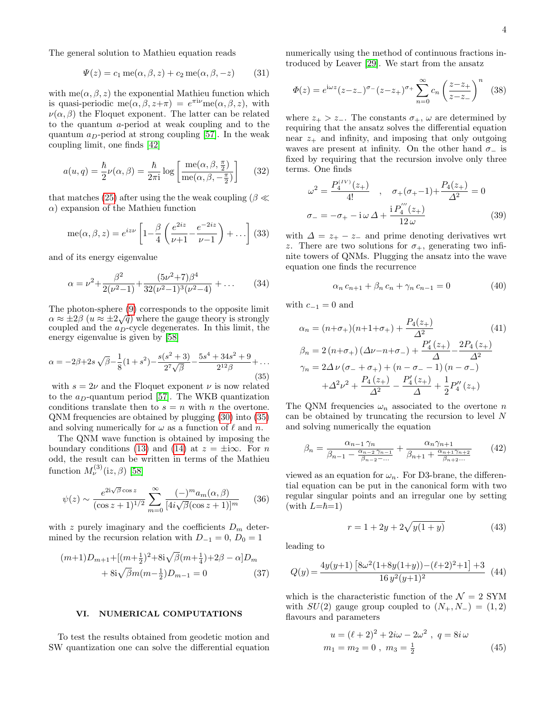The general solution to Mathieu equation reads

$$
\Psi(z) = c_1 \operatorname{me}(\alpha, \beta, z) + c_2 \operatorname{me}(\alpha, \beta, -z) \tag{31}
$$

with me( $\alpha, \beta, z$ ) the exponential Mathieu function which is quasi-periodic me $(\alpha, \beta, z+\pi) = e^{\pi i \nu}$ me $(\alpha, \beta, z)$ , with  $\nu(\alpha, \beta)$  the Floquet exponent. The latter can be related to the quantum a-period at weak coupling and to the quantum  $a_D$ -period at strong coupling [\[57\]](#page-6-15). In the weak coupling limit, one finds [\[42\]](#page-6-3)

$$
a(u,q) = \frac{\hbar}{2}\nu(\alpha,\beta) = \frac{\hbar}{2\pi i}\log\left[\frac{\text{me}(\alpha,\beta,\frac{\pi}{2})}{\text{me}(\alpha,\beta,-\frac{\pi}{2})}\right]
$$
(32)

that matches [\(25\)](#page-2-4) after using the the weak coupling ( $\beta \ll$  $\alpha$ ) expansion of the Mathieu function

me
$$
(\alpha, \beta, z) = e^{iz\nu} \left[ 1 - \frac{\beta}{4} \left( \frac{e^{2iz}}{\nu + 1} - \frac{e^{-2iz}}{\nu - 1} \right) + \dots \right]
$$
 (33)

and of its energy eigenvalue

$$
\alpha = \nu^2 + \frac{\beta^2}{2(\nu^2 - 1)} + \frac{(5\nu^2 + 7)\beta^4}{32(\nu^2 - 1)^3(\nu^2 - 4)} + \dots
$$
 (34)

The photon-sphere [\(9\)](#page-1-1) corresponds to the opposite limit The photon-sphere (9) corresponds to the opposite limit  $\alpha \approx \pm 2\beta$  ( $u \approx \pm 2\sqrt{q}$ ) where the gauge theory is strongly coupled and the  $a<sub>D</sub>$ -cycle degenerates. In this limit, the energy eigenvalue is given by [\[58\]](#page-6-16)

<span id="page-3-0"></span>
$$
\alpha = -2\beta + 2s\sqrt{\beta} - \frac{1}{8}(1+s^2) - \frac{s(s^2+3)}{2^7\sqrt{\beta}} - \frac{5s^4 + 34s^2 + 9}{2^{12}\beta} + \dots
$$
\n(35)

with  $s = 2\nu$  and the Floquet exponent  $\nu$  is now related to the  $a_D$ -quantum period [\[57\]](#page-6-15). The WKB quantization conditions translate then to  $s = n$  with n the overtone. QNM frequencies are obtained by plugging [\(30\)](#page-2-5) into [\(35\)](#page-3-0) and solving numerically for  $\omega$  as a function of  $\ell$  and n.

The QNM wave function is obtained by imposing the boundary conditions [\(13\)](#page-1-2) and [\(14\)](#page-1-3) at  $z = \pm i\infty$ . For n odd, the result can be written in terms of the Mathieu function  $M_{\nu}^{(3)}(iz,\beta)$  [\[58\]](#page-6-16)

$$
\psi(z) \sim \frac{e^{2\mathrm{i}\sqrt{\beta}\cos z}}{(\cos z + 1)^{1/2}} \sum_{m=0}^{\infty} \frac{(-)^m a_m(\alpha, \beta)}{[4\mathrm{i}\sqrt{\beta}(\cos z + 1)]^m} \qquad (36)
$$

with z purely imaginary and the coefficients  $D_m$  determined by the recursion relation with  $D_{-1} = 0$ ,  $D_0 = 1$ 

$$
(m+1)D_{m+1} + [(m+\frac{1}{2})^2 + 8i\sqrt{\beta}(m+\frac{1}{4}) + 2\beta - \alpha]D_m
$$
  
+  $8i\sqrt{\beta}m(m-\frac{1}{2})D_{m-1} = 0$  (37)

# VI. NUMERICAL COMPUTATIONS

To test the results obtained from geodetic motion and SW quantization one can solve the differential equation numerically using the method of continuous fractions introduced by Leaver [\[29\]](#page-5-16). We start from the ansatz

$$
\Phi(z) = e^{i\omega z} (z - z_{-})^{\sigma_{-}} (z - z_{+})^{\sigma_{+}} \sum_{n=0}^{\infty} c_{n} \left( \frac{z - z_{+}}{z - z_{-}} \right)^{n} \tag{38}
$$

where  $z_+ > z_-$ . The constants  $\sigma_+$ ,  $\omega$  are determined by requiring that the ansatz solves the differential equation near  $z_{+}$  and infinity, and imposing that only outgoing waves are present at infinity. On the other hand  $\sigma_-\$  is fixed by requiring that the recursion involve only three terms. One finds

$$
\omega^2 = \frac{P_4^{(IV)}(z_+)}{4!} , \quad \sigma_+(\sigma_+-1) + \frac{P_4(z_+)}{\Delta^2} = 0
$$
  

$$
\sigma_- = -\sigma_+ - i\omega \Delta + \frac{i P_4^{(IV)}(z_+)}{12\omega}
$$
(39)

with  $\Delta = z_+ - z_-$  and prime denoting derivatives wrt z. There are two solutions for  $\sigma_{+}$ , generating two infinite towers of QNMs. Plugging the ansatz into the wave equation one finds the recurrence

$$
\alpha_n \, c_{n+1} + \beta_n \, c_n + \gamma_n \, c_{n-1} = 0 \tag{40}
$$

with  $c_{-1} = 0$  and

$$
\alpha_n = (n+\sigma_+)(n+1+\sigma_+) + \frac{P_4(z_+)}{\Delta^2} \tag{41}
$$
\n
$$
\beta_n = 2(n+\sigma_+) \left(\Delta \nu - n + \sigma_- \right) + \frac{P'_4(z_+)}{\Delta} - \frac{2P_4(z_+)}{\Delta^2}
$$
\n
$$
\gamma_n = 2\Delta \nu \left(\sigma_- + \sigma_+ \right) + \left(n - \sigma_- - 1\right)\left(n - \sigma_- \right)
$$
\n
$$
+ \Delta^2 \nu^2 + \frac{P_4(z_+)}{\Delta^2} - \frac{P'_4(z_+)}{\Delta} + \frac{1}{2} P''_4(z_+)
$$

The QNM frequencies  $\omega_n$  associated to the overtone n can be obtained by truncating the recursion to level N and solving numerically the equation

$$
\beta_n = \frac{\alpha_{n-1} \gamma_n}{\beta_{n-1} - \frac{\alpha_{n-2} \gamma_{n-1}}{\beta_{n-2} - \dots}} + \frac{\alpha_n \gamma_{n+1}}{\beta_{n+1} + \frac{\alpha_{n+1} \gamma_{n+2}}{\beta_{n+2} \dots}} \qquad (42)
$$

viewed as an equation for  $\omega_n$ . For D3-brane, the differential equation can be put in the canonical form with two regular singular points and an irregular one by setting (with  $L=\hbar=1$ )

$$
r = 1 + 2y + 2\sqrt{y(1+y)}\tag{43}
$$

leading to

$$
Q(y) = \frac{4y(y+1)\left[8\omega^2(1+8y(1+y)) - (\ell+2)^2 + 1\right] + 3}{16\,y^2(y+1)^2} \tag{44}
$$

which is the characteristic function of the  $\mathcal{N} = 2$  SYM with  $SU(2)$  gauge group coupled to  $(N_+, N_-) = (1, 2)$ flavours and parameters

$$
u = (\ell + 2)^2 + 2i\omega - 2\omega^2 , q = 8i\omega
$$
  

$$
m_1 = m_2 = 0 , m_3 = \frac{1}{2}
$$
 (45)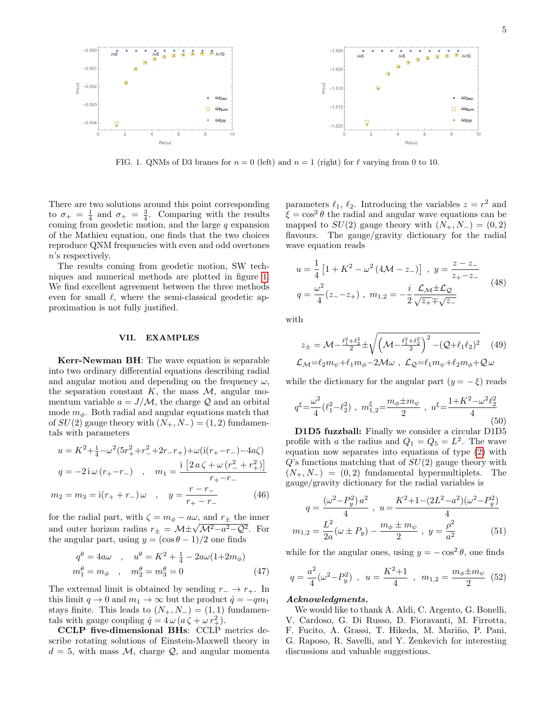

<span id="page-4-0"></span>FIG. 1. QNMs of D3 branes for  $n = 0$  (left) and  $n = 1$  (right) for  $\ell$  varying from 0 to 10.

There are two solutions around this point corresponding to  $\sigma_+ = \frac{1}{4}$  and  $\sigma_+ = \frac{3}{4}$ . Comparing with the results coming from geodetic motion, and the large  $q$  expansion of the Mathieu equation, one finds that the two choices reproduce QNM frequencies with even and odd overtones n's respectively.

The results coming from geodetic motion, SW techniques and numerical methods are plotted in figure [1.](#page-4-0) We find excellent agreement between the three methods even for small  $\ell$ , where the semi-classical geodetic approximation is not fully justified.

# VII. EXAMPLES

Kerr-Newman BH: The wave equation is separable into two ordinary differential equations describing radial and angular motion and depending on the frequency  $\omega$ , the separation constant  $K$ , the mass  $\mathcal{M}$ , angular momentum variable  $a = J/M$ , the charge Q and an orbital mode  $m_{\phi}$ . Both radial and angular equations match that of  $SU(2)$  gauge theory with  $(N_+, N_-) = (1, 2)$  fundamentals with parameters

$$
u = K^{2} + \frac{1}{4} - \omega^{2} (5r_{+}^{2} + r_{-}^{2} + 2r_{-}r_{+}) + \omega(i(r_{+} - r_{-}) - 4a\zeta)
$$
  
\n
$$
q = -2i\omega (r_{+} - r_{-}) , \quad m_{1} = \frac{i[2a\zeta + \omega (r_{-}^{2} + r_{+}^{2})]}{r_{+} - r_{-}}
$$
  
\n
$$
m_{2} = m_{3} = i(r_{+} + r_{-})\omega , \quad y = \frac{r - r_{-}}{r_{+} - r_{-}} \qquad (46)
$$

for the radial part, with  $\zeta = m_{\phi} - a\omega$ , and  $r_{\pm}$  the inner for the radial part, with  $\zeta = m_{\phi} - a\omega$ , and  $r_{\pm}$  the linear<br>and outer horizon radius  $r_{\pm} = \mathcal{M} \pm \sqrt{\mathcal{M}^2 - a^2 - \mathcal{Q}^2}$ . For the angular part, using  $y = (\cos \theta - 1)/2$  one finds

$$
q^{\theta} = 4a\omega , \quad u^{\theta} = K^2 + \frac{1}{4} - 2a\omega(1 + 2m_{\phi})
$$
  

$$
m_1^{\theta} = m_{\phi} , \quad m_2^{\theta} = m_3^{\theta} = 0
$$
 (47)

The extremal limit is obtained by sending  $r_-\rightarrow r_+$ . In this limit  $q \to 0$  and  $m_1 \to \infty$  but the product  $\hat{q} = -qm_1$ stays finite. This leads to  $(N_+, N_-) = (1, 1)$  fundamentals with gauge coupling  $\hat{q} = 4\omega (a\,\zeta + \omega r_+^2)$ .

CCLP five-dimensional BHs: CCLP metrics describe rotating solutions of Einstein-Maxwell theory in  $d = 5$ , with mass M, charge Q, and angular momenta

parameters  $\ell_1, \ell_2$ . Introducing the variables  $z = r^2$  and  $\xi = \cos^2 \theta$  the radial and angular wave equations can be mapped to  $SU(2)$  gauge theory with  $(N_+, N_-) = (0, 2)$ flavours. The gauge/gravity dictionary for the radial wave equation reads

$$
u = \frac{1}{4} \left[ 1 + K^2 - \omega^2 (4\mathcal{M} - z_-) \right] , y = \frac{z - z_-}{z_+ - z_-}
$$
  

$$
q = \frac{\omega^2}{4} (z_- - z_+) , m_{1,2} = -\frac{i}{2} \frac{\mathcal{L}_M \pm \mathcal{L}_Q}{\sqrt{z_+ + \sqrt{z_-}}} \tag{48}
$$

with

$$
z_{\pm} = \mathcal{M} - \frac{\ell_1^2 + \ell_2^2}{2} \pm \sqrt{\left(\mathcal{M} - \frac{\ell_1^2 + \ell_2^2}{2}\right)^2 - (Q + \ell_1 \ell_2)^2} \quad (49)
$$
  

$$
\mathcal{L}_{\mathcal{M}} = \ell_2 m_{\psi} + \ell_1 m_{\phi} - 2\mathcal{M}\omega , \ \mathcal{L}_{\mathcal{Q}} = \ell_1 m_{\psi} + \ell_2 m_{\phi} + \mathcal{Q}\omega
$$

while the dictionary for the angular part  $(y = -\xi)$  reads

$$
q^{\xi} = \frac{\omega^2}{4} (\ell_1^2 - \ell_2^2) , \ m_{1,2}^{\xi} = \frac{m_{\phi} \pm m_{\psi}}{2} , \ u^{\xi} = \frac{1 + K^2 - \omega^2 \ell_2^2}{4}
$$
(50)

D1D5 fuzzball: Finally we consider a circular D1D5 profile with a the radius and  $Q_1 = Q_5 = L^2$ . The wave equation now separates into equations of type [\(2\)](#page-0-0) with  $Q$ 's functions matching that of  $SU(2)$  gauge theory with  $(N_+, N_-) = (0, 2)$  fundamental hypermultiplets. The gauge/gravity dictionary for the radial variables is

$$
q = \frac{(\omega^2 - P_y^2) a^2}{4} , u = \frac{K^2 + 1 - (2L^2 - a^2)(\omega^2 - P_y^2)}{4}
$$

$$
m_{1,2} = \frac{L^2}{2a} (\omega \pm P_y) - \frac{m_\phi \pm m_\psi}{2} , y = \frac{\rho^2}{a^2}
$$
(51)

while for the angular ones, using  $y = -\cos^2 \theta$ , one finds

$$
q = \frac{a^2}{4}(\omega^2 - P_y^2) , \ u = \frac{K^2 + 1}{4} , \ m_{1,2} = \frac{m_\phi \pm m_\psi}{2} \tag{52}
$$

## Acknowledgments.

We would like to thank A. Aldi, C. Argento, G. Bonelli, V. Cardoso, G. Di Russo, D. Fioravanti, M. Firrotta, F. Fucito, A. Grassi, T. Hikeda, M. Mariño, P. Pani, G. Raposo, R. Savelli, and Y. Zenkevich for interesting discussions and valuable suggestions.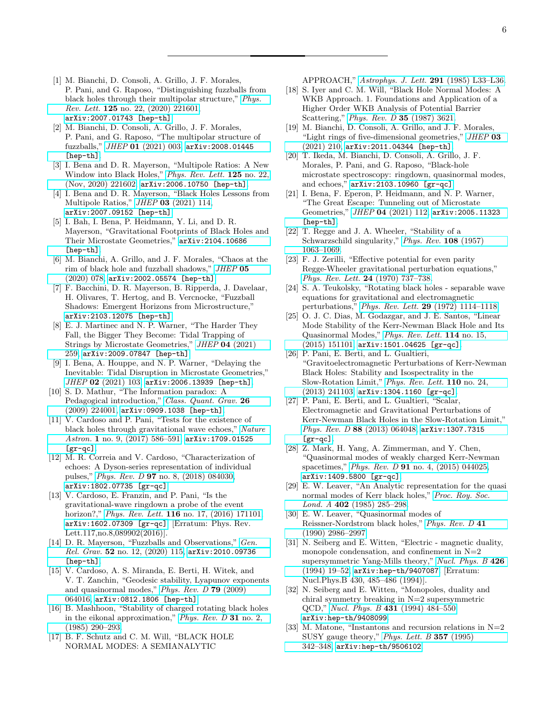- <span id="page-5-0"></span>[1] M. Bianchi, D. Consoli, A. Grillo, J. F. Morales, P. Pani, and G. Raposo, "Distinguishing fuzzballs from black holes through their multipolar structure," [Phys.](http://dx.doi.org/10.1103/PhysRevLett.125.221601) Rev. Lett. 125 [no. 22, \(2020\) 221601,](http://dx.doi.org/10.1103/PhysRevLett.125.221601) [arXiv:2007.01743 \[hep-th\]](http://arxiv.org/abs/2007.01743).
- [2] M. Bianchi, D. Consoli, A. Grillo, J. F. Morales, P. Pani, and G. Raposo, "The multipolar structure of fuzzballs," JHEP 01 [\(2021\) 003,](http://dx.doi.org/10.1007/JHEP01(2021)003) [arXiv:2008.01445](http://arxiv.org/abs/2008.01445) [\[hep-th\]](http://arxiv.org/abs/2008.01445).
- [3] I. Bena and D. R. Mayerson, "Multipole Ratios: A New Window into Black Holes," [Phys. Rev. Lett.](http://dx.doi.org/10.1103/PhysRevLett.125.221602) 125 no. 22, [\(Nov, 2020\) 221602,](http://dx.doi.org/10.1103/PhysRevLett.125.221602) [arXiv:2006.10750 \[hep-th\]](http://arxiv.org/abs/2006.10750).
- [4] I. Bena and D. R. Mayerson, "Black Holes Lessons from Multipole Ratios," JHEP 03 [\(2021\) 114,](http://dx.doi.org/10.1007/JHEP03(2021)114) [arXiv:2007.09152 \[hep-th\]](http://arxiv.org/abs/2007.09152).
- <span id="page-5-1"></span>[5] I. Bah, I. Bena, P. Heidmann, Y. Li, and D. R. Mayerson, "Gravitational Footprints of Black Holes and Their Microstate Geometries," [arXiv:2104.10686](http://arxiv.org/abs/2104.10686) [\[hep-th\]](http://arxiv.org/abs/2104.10686).
- <span id="page-5-2"></span>[6] M. Bianchi, A. Grillo, and J. F. Morales, "Chaos at the rim of black hole and fuzzball shadows," [JHEP](http://dx.doi.org/10.1007/JHEP05(2020)078) 05 [\(2020\) 078,](http://dx.doi.org/10.1007/JHEP05(2020)078) [arXiv:2002.05574 \[hep-th\]](http://arxiv.org/abs/2002.05574).
- <span id="page-5-3"></span>[7] F. Bacchini, D. R. Mayerson, B. Ripperda, J. Davelaar, H. Olivares, T. Hertog, and B. Vercnocke, "Fuzzball Shadows: Emergent Horizons from Microstructure," [arXiv:2103.12075 \[hep-th\]](http://arxiv.org/abs/2103.12075).
- <span id="page-5-4"></span>[8] E. J. Martinec and N. P. Warner, "The Harder They Fall, the Bigger They Become: Tidal Trapping of Strings by Microstate Geometries," JHEP 04 [\(2021\)](http://dx.doi.org/10.1007/JHEP04(2021)259) [259,](http://dx.doi.org/10.1007/JHEP04(2021)259) [arXiv:2009.07847 \[hep-th\]](http://arxiv.org/abs/2009.07847).
- <span id="page-5-5"></span>[9] I. Bena, A. Houppe, and N. P. Warner, "Delaying the Inevitable: Tidal Disruption in Microstate Geometries," JHEP 02 [\(2021\) 103,](http://dx.doi.org/10.1007/JHEP02(2021)103) [arXiv:2006.13939 \[hep-th\]](http://arxiv.org/abs/2006.13939).
- <span id="page-5-6"></span>[10] S. D. Mathur, "The Information paradox: A Pedagogical introduction," [Class. Quant. Grav.](http://dx.doi.org/10.1088/0264-9381/26/22/224001) 26 [\(2009\) 224001,](http://dx.doi.org/10.1088/0264-9381/26/22/224001) [arXiv:0909.1038 \[hep-th\]](http://arxiv.org/abs/0909.1038).
- <span id="page-5-7"></span>[11] V. Cardoso and P. Pani, "Tests for the existence of black holes through gravitational wave echoes," [Nature](http://dx.doi.org/10.1038/s41550-017-0225-y) Astron. 1 no. 9,  $(2017)$  586-591, [arXiv:1709.01525](http://arxiv.org/abs/1709.01525)  $[gr-qc]$ .
- [12] M. R. Correia and V. Cardoso, "Characterization of echoes: A Dyson-series representation of individual pulses," Phys. Rev. D 97 [no. 8, \(2018\) 084030,](http://dx.doi.org/10.1103/PhysRevD.97.084030) [arXiv:1802.07735 \[gr-qc\]](http://arxiv.org/abs/1802.07735).
- [13] V. Cardoso, E. Franzin, and P. Pani, "Is the gravitational-wave ringdown a probe of the event horizon?," Phys. Rev. Lett. **116** [no. 17, \(2016\) 171101,](http://dx.doi.org/10.1103/PhysRevLett.117.089902, 10.1103/PhysRevLett.116.171101) [arXiv:1602.07309 \[gr-qc\]](http://arxiv.org/abs/1602.07309). [Erratum: Phys. Rev. Lett.117,no.8,089902(2016)].
- <span id="page-5-8"></span>[14] D. R. Mayerson, "Fuzzballs and Observations," [Gen.](http://dx.doi.org/10.1007/s10714-020-02769-w) Rel. Grav. 52 [no. 12, \(2020\) 115,](http://dx.doi.org/10.1007/s10714-020-02769-w) arXiv: 2010.09736 [\[hep-th\]](http://arxiv.org/abs/2010.09736).
- <span id="page-5-9"></span>[15] V. Cardoso, A. S. Miranda, E. Berti, H. Witek, and V. T. Zanchin, "Geodesic stability, Lyapunov exponents and quasinormal modes," [Phys. Rev. D](http://dx.doi.org/10.1103/PhysRevD.79.064016) 79 (2009) [064016,](http://dx.doi.org/10.1103/PhysRevD.79.064016) [arXiv:0812.1806 \[hep-th\]](http://arxiv.org/abs/0812.1806).
- [16] B. Mashhoon, "Stability of charged rotating black holes in the eikonal approximation," [Phys. Rev. D](http://dx.doi.org/10.1103/PhysRevD.31.290) 31 no. 2, [\(1985\) 290–293.](http://dx.doi.org/10.1103/PhysRevD.31.290)
- [17] B. F. Schutz and C. M. Will, "BLACK HOLE NORMAL MODES: A SEMIANALYTIC

APPROACH," [Astrophys. J. Lett.](http://dx.doi.org/10.1086/184453) 291 (1985) L33-L36.

- [18] S. Iyer and C. M. Will, "Black Hole Normal Modes: A WKB Approach. 1. Foundations and Application of a Higher Order WKB Analysis of Potential Barrier Scattering," [Phys. Rev. D](http://dx.doi.org/10.1103/PhysRevD.35.3621) 35 (1987) 3621.
- [19] M. Bianchi, D. Consoli, A. Grillo, and J. F. Morales, "Light rings of five-dimensional geometries," [JHEP](http://dx.doi.org/10.1007/JHEP03(2021)210) 03 [\(2021\) 210,](http://dx.doi.org/10.1007/JHEP03(2021)210) [arXiv:2011.04344 \[hep-th\]](http://arxiv.org/abs/2011.04344).
- <span id="page-5-10"></span>[20] T. Ikeda, M. Bianchi, D. Consoli, A. Grillo, J. F. Morales, P. Pani, and G. Raposo, "Black-hole microstate spectroscopy: ringdown, quasinormal modes, and echoes," [arXiv:2103.10960 \[gr-qc\]](http://arxiv.org/abs/2103.10960).
- <span id="page-5-11"></span>[21] I. Bena, F. Eperon, P. Heidmann, and N. P. Warner, "The Great Escape: Tunneling out of Microstate Geometries," JHEP 04 [\(2021\) 112,](http://dx.doi.org/10.1007/JHEP04(2021)112) [arXiv:2005.11323](http://arxiv.org/abs/2005.11323) [\[hep-th\]](http://arxiv.org/abs/2005.11323).
- <span id="page-5-12"></span>[22] T. Regge and J. A. Wheeler, "Stability of a Schwarzschild singularity," [Phys. Rev.](http://dx.doi.org/10.1103/PhysRev.108.1063) 108 (1957) [1063–1069.](http://dx.doi.org/10.1103/PhysRev.108.1063)
- <span id="page-5-13"></span>[23] F. J. Zerilli, "Effective potential for even parity Regge-Wheeler gravitational perturbation equations," [Phys. Rev. Lett.](http://dx.doi.org/10.1103/PhysRevLett.24.737) 24 (1970) 737–738.
- <span id="page-5-14"></span>[24] S. A. Teukolsky, "Rotating black holes - separable wave equations for gravitational and electromagnetic perturbations," Phys. Rev. Lett. 29 [\(1972\) 1114–1118.](http://dx.doi.org/10.1103/PhysRevLett.29.1114)
- <span id="page-5-19"></span>[25] O. J. C. Dias, M. Godazgar, and J. E. Santos, "Linear Mode Stability of the Kerr-Newman Black Hole and Its Quasinormal Modes," [Phys. Rev. Lett.](http://dx.doi.org/10.1103/PhysRevLett.114.151101) 114 no. 15, [\(2015\) 151101,](http://dx.doi.org/10.1103/PhysRevLett.114.151101) [arXiv:1501.04625 \[gr-qc\]](http://arxiv.org/abs/1501.04625).
- [26] P. Pani, E. Berti, and L. Gualtieri, "Gravitoelectromagnetic Perturbations of Kerr-Newman Black Holes: Stability and Isospectrality in the Slow-Rotation Limit," [Phys. Rev. Lett.](http://dx.doi.org/10.1103/PhysRevLett.110.241103) 110 no. 24, [\(2013\) 241103,](http://dx.doi.org/10.1103/PhysRevLett.110.241103) [arXiv:1304.1160 \[gr-qc\]](http://arxiv.org/abs/1304.1160).
- [27] P. Pani, E. Berti, and L. Gualtieri, "Scalar, Electromagnetic and Gravitational Perturbations of Kerr-Newman Black Holes in the Slow-Rotation Limit," Phys. Rev. D 88 [\(2013\) 064048,](http://dx.doi.org/10.1103/PhysRevD.88.064048) [arXiv:1307.7315](http://arxiv.org/abs/1307.7315)  $[gr-qc]$ .
- <span id="page-5-15"></span>[28] Z. Mark, H. Yang, A. Zimmerman, and Y. Chen, "Quasinormal modes of weakly charged Kerr-Newman spacetimes," Phys. Rev. D 91 [no. 4, \(2015\) 044025,](http://dx.doi.org/10.1103/PhysRevD.91.044025) [arXiv:1409.5800 \[gr-qc\]](http://arxiv.org/abs/1409.5800).
- <span id="page-5-16"></span>[29] E. W. Leaver, "An Analytic representation for the quasi normal modes of Kerr black holes," [Proc. Roy. Soc.](http://dx.doi.org/10.1098/rspa.1985.0119) Lond. A 402 [\(1985\) 285–298.](http://dx.doi.org/10.1098/rspa.1985.0119)
- <span id="page-5-17"></span>[30] E. W. Leaver, "Quasinormal modes of Reissner-Nordstrom black holes," [Phys. Rev. D](http://dx.doi.org/10.1103/PhysRevD.41.2986) 41 [\(1990\) 2986–2997.](http://dx.doi.org/10.1103/PhysRevD.41.2986)
- <span id="page-5-18"></span>[31] N. Seiberg and E. Witten, "Electric - magnetic duality, monopole condensation, and confinement in  $N=2$ supersymmetric Yang-Mills theory," [Nucl. Phys. B](http://dx.doi.org/10.1016/0550-3213(94)90124-4) 426 [\(1994\) 19–52,](http://dx.doi.org/10.1016/0550-3213(94)90124-4) [arXiv:hep-th/9407087](http://arxiv.org/abs/hep-th/9407087). [Erratum: Nucl.Phys.B 430, 485–486 (1994)].
- [32] N. Seiberg and E. Witten, "Monopoles, duality and chiral symmetry breaking in N=2 supersymmetric QCD," Nucl. Phys. B 431 [\(1994\) 484–550,](http://dx.doi.org/10.1016/0550-3213(94)90214-3) [arXiv:hep-th/9408099](http://arxiv.org/abs/hep-th/9408099).
- [33] M. Matone, "Instantons and recursion relations in N=2 SUSY gauge theory," [Phys. Lett. B](http://dx.doi.org/10.1016/0370-2693(95)00920-G) 357 (1995) [342–348,](http://dx.doi.org/10.1016/0370-2693(95)00920-G) [arXiv:hep-th/9506102](http://arxiv.org/abs/hep-th/9506102).